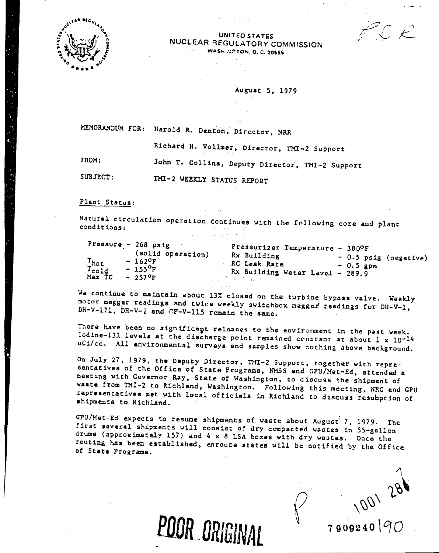

UNITED STATES NUCLEAR REGULATORY COMMISSION **WASHINGTON, D. C. 20555** 

August 5. 1979

MEMORANDUM FOR: Harold R. Denton, Director, NRR

Richard H. Vollmer, Director, TMI-2 Support

FROM:

John T. Collins, Deputy Director, TMI-2 Support

SUBJECT: THI-2 WEEKLY STATUS REPORT

Plant Status:

Natural circulation operation continues with the following core and plant conditions:

| $\frac{T_{\text{hot}}}{T_{\text{cold}}}$ | Pressure - 268 psig<br>(solid operation)<br>$-162$ <sup>O</sup> F<br>$-155^{\circ}F$ | Pressurizer Temperature - 380°F<br>Rx Building<br>$-0.5$ psig (negative)<br>RC Leak Rate<br>$-0.5$ gpm<br>Rx Building Water Level - 289.9 |  |
|------------------------------------------|--------------------------------------------------------------------------------------|-------------------------------------------------------------------------------------------------------------------------------------------|--|
| Max TC                                   | $-257$ <sup>O</sup> F                                                                | アール せいろうはつ カームシー                                                                                                                          |  |

We continue to maintain about 13% closed on the turbine bypass valve. Weekly motor megger readings and twice weekly switchbox megger readings for DH-V-1, DH-V-171, DH-V-2 and CF-V-115 remain the same.

There have been no significant releases to the environment in the past week. Iodine-131 levels at the discharge point remained constant at about  $1 \times 10^{-14}$ uCi/cc. All environmental surveys and samples show nothing above background.

On July 27, 1979, the Daputy Director, TMI-2 Support, together with representatives of the Office of State Programs, NMSS and GPU/Met-Ed, attended a meeting with Covernor Ray, State of Washington, to discuss the shipment of waste from TMI-2 to Richland, Washington. Following this meeting, NRC and GPU rapresentatives met with local officials in Richland to discuss resumption of shipments to Richland.

CPU/Met-Ed expects to resume shipments of waste about August 7, 1979. The first several shipments will consist of dry compacted wastes in 55-gallon drums (approximately 157) and  $4 \times 8$  LSA boxes with dry wastes. Once the routing has been established, enroute states will be notified by the Office of State Programs.

POOR ORIGINAL

1001 281 7909240190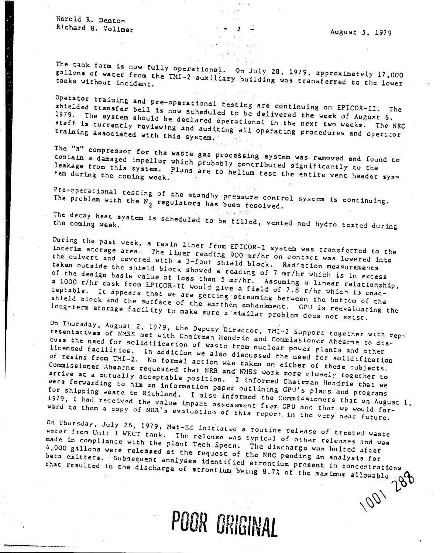Harold R. Denton Richard H. Vollmer

The tank farm is now fully operational. On July 28, 1979, approximately 17,000 gallons of water from the TMI-2 auxiliary building was transferred to the lower

Operator training and pre-operational resting are continuing on EPICOR-II. The shielded transfer bell is now scheduled to be delivered the week of August 6, 1979. The system should be declared operational in the next two weeks. The NRC staff is currently reviewing and auditing all operating procedures and operator training associated with this system.

The "B" compressor for the waste gas processing system was removed and found to contain a damaged impellor which probably contributed significantly to the leakage from this system. Plans are to helium test the entire vent header sys-

Pre-operational testing of the standby pressure control system is continuing. The problem with the  $N_2$  regulators has been resolved.

The decay heat system is scheduled to be filled, vented and hydro tested during

During the past week, a resin liner from EPICOR-I system was transferred to the interim storage area. The liner reading 900 mr/hr on contact was lowered into the culvert and covered with a 3-foot shield block. Radjation measurements taken outside the shield block showed a reading of 7 mr/hr which is in excess of the design basis value of less than 5 mr/hr. Assuming a linear relationship, a 1000 r/hr cask from EPICOR-II would give a field of 7.8 r/hr which is unacceptable. It appears that we are getting streaming between the bottom of the shield block and the surface of the earthen embankment. GPU is reevaluating the long-term atorage facility to make sure a similar problem dees not exist.

On Thursday, August 2, 1979, the Deputy Director, TMI-2 Support together with representatives of NMSS met with Chairman Hendrie and Commissioner Abearne to discuss the need for solidification of waste from nuclear power plants and other licensed facilities. In addition we also discussed the need for solidification of resins from TMI-2. No formal action was taken on either of these subjects. Commissioner Ahearne requested that NRR and NMSS work more closely together to arrive at a mutually acceptable position. I informed Chairman Hendrie that we were forwarding to him an information paper outlining GPU's plans and programs for shipping waste to Richland. I also informed the Commissioners that on August 1, 1979, I had received the value impact assessment from CPU and that we would forward to them a copy of NRR's evaluation of this report in the very near future.

On Thursday, July 26, 1979, Met-Ed initiated a routine release of treated waste water from Unit 1 WECT tank. The relense was typical of other releases and was made in compliance with the plant Tech Specs. The discharge was halted after 4,000 gallons were released at the request of the NRC pending an analysis for beta emitters. Subsequent analyses identified strontium present in concentrations that resulted in the discharge of strontium being 8.7% of the maximum allowable 1001 288

POOR ORIGINAL